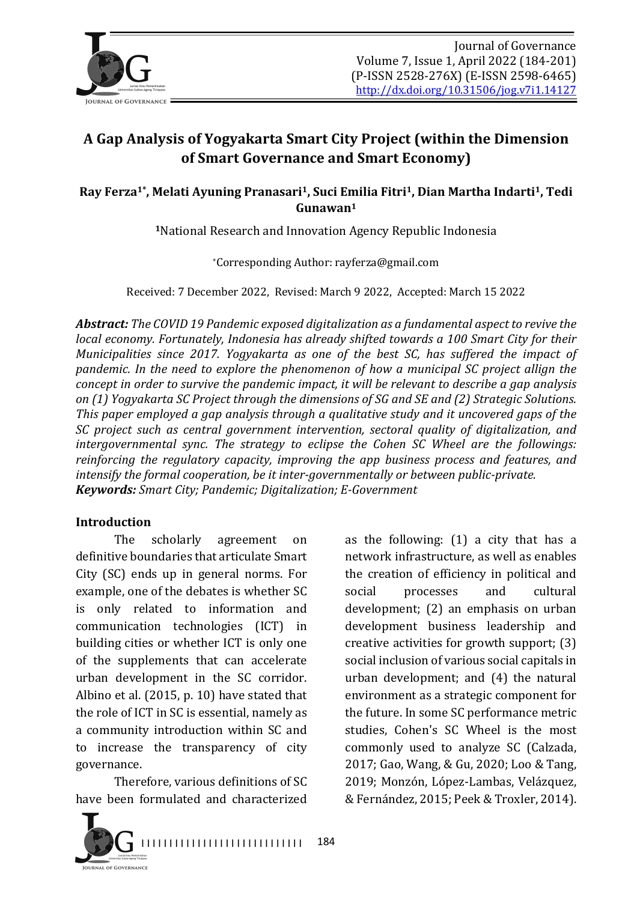

# **A Gap Analysis of Yogyakarta Smart City Project (within the Dimension of Smart Governance and Smart Economy)**

#### Ray Ferza<sup>1\*</sup>, Melati Ayuning Pranasari<sup>1</sup>, Suci Emilia Fitri<sup>1</sup>, Dian Martha Indarti<sup>1</sup>, Tedi **Gunawan1**

<sup>1</sup>National Research and Innovation Agency Republic Indonesia

\*Corresponding Author: rayferza@gmail.com

Received: 7 December 2022, Revised: March 9 2022, Accepted: March 15 2022

**Abstract:** The COVID 19 Pandemic exposed digitalization as a fundamental aspect to revive the *local economy.* Fortunately, Indonesia has already shifted towards a 100 Smart City for their *Municipalities since 2017. Yogyakarta as one of the best SC, has suffered the impact of pandemic.* In the need to explore the phenomenon of how a municipal SC project allign the *concept* in order to survive the pandemic impact, it will be relevant to describe a gap analysis *on* (1) Yogyakarta SC Project through the dimensions of SG and SE and (2) Strategic Solutions. This paper employed a gap analysis through a qualitative study and it uncovered gaps of the *SC* project such as central government intervention, sectoral quality of digitalization, and *intergovernmental sync. The strategy to eclipse the Cohen SC Wheel are the followings: reinforcing the regulatory capacity, improving the app business process and features, and intensify the formal cooperation, be it inter-governmentally or between public-private. Keywords: Smart City; Pandemic; Digitalization; E-Government* 

#### **Introduction**

The scholarly agreement on definitive boundaries that articulate Smart City (SC) ends up in general norms. For example, one of the debates is whether SC is only related to information and communication technologies (ICT) in building cities or whether ICT is only one of the supplements that can accelerate urban development in the SC corridor. Albino et al.  $(2015, p. 10)$  have stated that the role of ICT in SC is essential, namely as a community introduction within SC and to increase the transparency of city governance.

Therefore, various definitions of SC have been formulated and characterized



as the following:  $(1)$  a city that has a network infrastructure, as well as enables the creation of efficiency in political and social processes and cultural development; (2) an emphasis on urban development business leadership and creative activities for growth support;  $(3)$ social inclusion of various social capitals in urban development; and  $(4)$  the natural environment as a strategic component for the future. In some SC performance metric studies, Cohen's SC Wheel is the most commonly used to analyze SC (Calzada, 2017; Gao, Wang, & Gu, 2020; Loo & Tang, 2019; Monzón, López-Lambas, Velázquez, & Fernández, 2015; Peek & Troxler, 2014).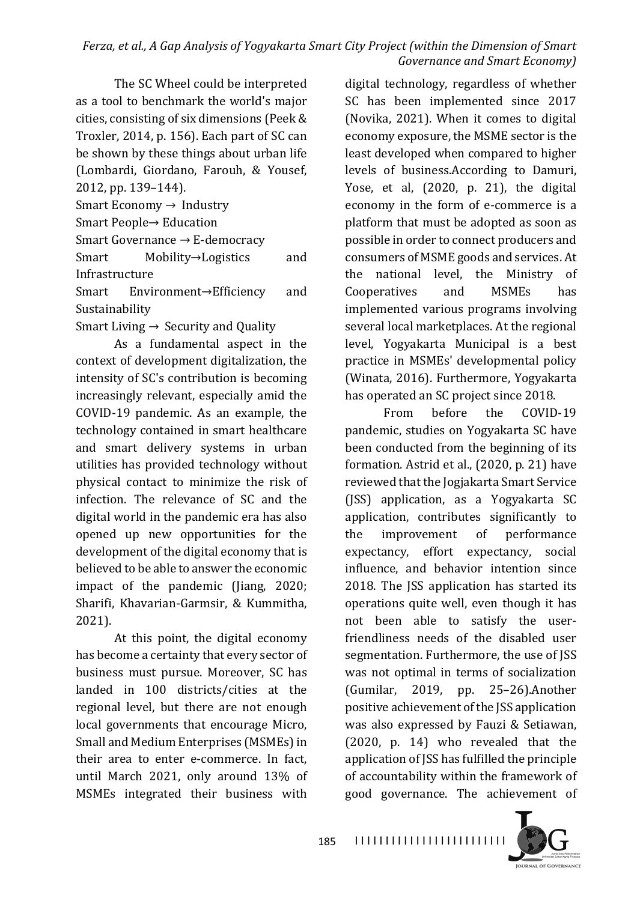#### *Ferza, et al., A Gap Analysis of Yogyakarta Smart City Project (within the Dimension of Smart Governance and Smart Economy*)

The SC Wheel could be interpreted as a tool to benchmark the world's major cities, consisting of six dimensions (Peek & Troxler, 2014, p. 156). Each part of SC can be shown by these things about urban life (Lombardi, Giordano, Farouh, & Yousef, 2012, pp. 139-144).

Smart Economy  $\rightarrow$  Industry

Smart People→ Education

Smart Governance  $\rightarrow$  E-democracy

Smart Mobility→Logistics and Infrastructure

Smart Environment→Efficiency and Sustainability

Smart Living  $\rightarrow$  Security and Quality

As a fundamental aspect in the context of development digitalization, the intensity of SC's contribution is becoming increasingly relevant, especially amid the COVID-19 pandemic. As an example, the technology contained in smart healthcare and smart delivery systems in urban utilities has provided technology without physical contact to minimize the risk of infection. The relevance of SC and the digital world in the pandemic era has also opened up new opportunities for the development of the digital economy that is believed to be able to answer the economic impact of the pandemic (Jiang, 2020; Sharifi, Khavarian-Garmsir, & Kummitha, 2021).

At this point, the digital economy has become a certainty that every sector of business must pursue. Moreover, SC has landed in 100 districts/cities at the regional level, but there are not enough local governments that encourage Micro, Small and Medium Enterprises (MSMEs) in their area to enter e-commerce. In fact, until March 2021, only around 13% of MSMEs integrated their business with

digital technology, regardless of whether SC has been implemented since 2017 (Novika, 2021). When it comes to digital economy exposure, the MSME sector is the least developed when compared to higher levels of business.According to Damuri, Yose, et al,  $(2020, p. 21)$ , the digital economy in the form of e-commerce is a platform that must be adopted as soon as possible in order to connect producers and consumers of MSME goods and services. At the national level, the Ministry of Cooperatives and MSMEs has implemented various programs involving several local marketplaces. At the regional level, Yogyakarta Municipal is a best practice in MSMEs' developmental policy (Winata, 2016). Furthermore, Yogyakarta has operated an SC project since 2018.

From before the COVID-19 pandemic, studies on Yogyakarta SC have been conducted from the beginning of its formation. Astrid et al., (2020, p. 21) have reviewed that the Jogjakarta Smart Service (JSS) application, as a Yogyakarta SC application, contributes significantly to the improvement of performance expectancy, effort expectancy, social influence, and behavior intention since 2018. The JSS application has started its operations quite well, even though it has not been able to satisfy the userfriendliness needs of the disabled user segmentation. Furthermore, the use of ISS was not optimal in terms of socialization  $(Gumilar, 2019, pp. 25-26)$ . Another positive achievement of the JSS application was also expressed by Fauzi & Setiawan,  $(2020, p. 14)$  who revealed that the application of JSS has fulfilled the principle of accountability within the framework of good governance. The achievement of 

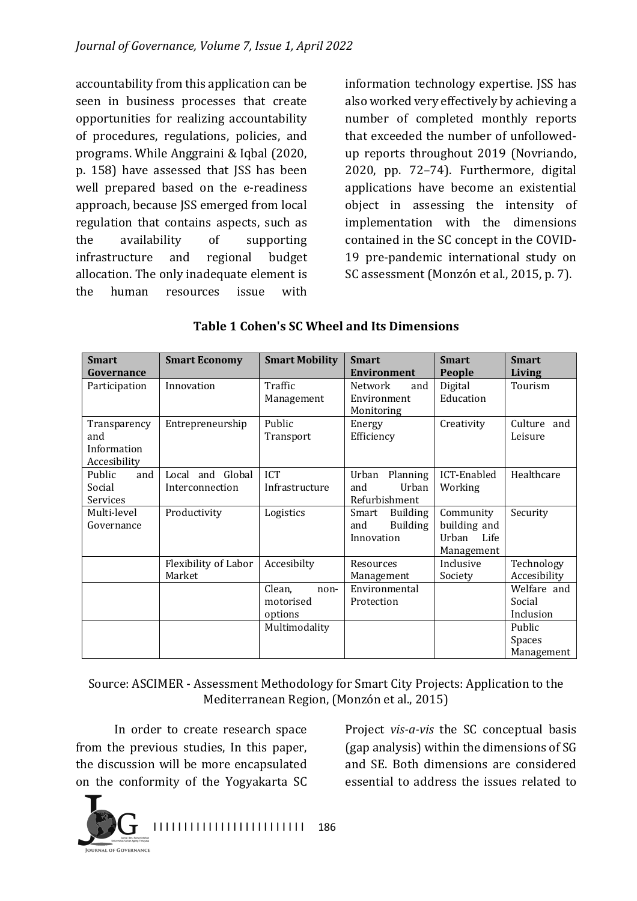accountability from this application can be seen in business processes that create opportunities for realizing accountability of procedures, regulations, policies, and programs. While Anggraini & Iqbal (2020, p. 158) have assessed that JSS has been well prepared based on the e-readiness approach, because JSS emerged from local regulation that contains aspects, such as the availability of supporting infrastructure and regional budget allocation. The only inadequate element is the human resources issue with

information technology expertise. JSS has also worked very effectively by achieving a number of completed monthly reports that exceeded the number of unfollowedup reports throughout 2019 (Novriando, 2020, pp. 72-74). Furthermore, digital applications have become an existential object in assessing the intensity of implementation with the dimensions contained in the SC concept in the COVID-19 pre-pandemic international study on SC assessment (Monzón et al., 2015, p. 7).

| <b>Smart</b><br>Governance                         | <b>Smart Economy</b>                | <b>Smart Mobility</b>                  | <b>Smart</b><br><b>Environment</b>                               | <b>Smart</b><br>People                                   | <b>Smart</b><br><b>Living</b>      |
|----------------------------------------------------|-------------------------------------|----------------------------------------|------------------------------------------------------------------|----------------------------------------------------------|------------------------------------|
| Participation                                      | Innovation                          | Traffic<br>Management                  | <b>Network</b><br>and<br>Environment<br>Monitoring               | Digital<br>Education                                     | Tourism                            |
| Transparency<br>and<br>Information<br>Accesibility | Entrepreneurship                    | Public<br>Transport                    | Energy<br>Efficiency                                             | Creativity                                               | Culture and<br>Leisure             |
| Public<br>and<br>Social<br>Services                | Local and Global<br>Interconnection | <b>ICT</b><br>Infrastructure           | Urban<br>Planning<br>Urban<br>and<br>Refurbishment               | ICT-Enabled<br>Working                                   | Healthcare                         |
| Multi-level<br>Governance                          | Productivity                        | Logistics                              | <b>Building</b><br>Smart<br><b>Building</b><br>and<br>Innovation | Community<br>building and<br>Life<br>Urban<br>Management | Security                           |
|                                                    | Flexibility of Labor<br>Market      | Accesibilty                            | Resources<br>Management                                          | Inclusive<br>Society                                     | Technology<br>Accesibility         |
|                                                    |                                     | Clean,<br>non-<br>motorised<br>options | Environmental<br>Protection                                      |                                                          | Welfare and<br>Social<br>Inclusion |
|                                                    |                                     | Multimodality                          |                                                                  |                                                          | Public<br>Spaces<br>Management     |

#### **Table 1 Cohen's SC Wheel and Its Dimensions**

Source: ASCIMER - Assessment Methodology for Smart City Projects: Application to the Mediterranean Region, (Monzón et al., 2015)

In order to create research space from the previous studies, In this paper, the discussion will be more encapsulated on the conformity of the Yogyakarta SC

Project *vis-a-vis* the SC conceptual basis (gap analysis) within the dimensions of SG and SE. Both dimensions are considered essential to address the issues related to

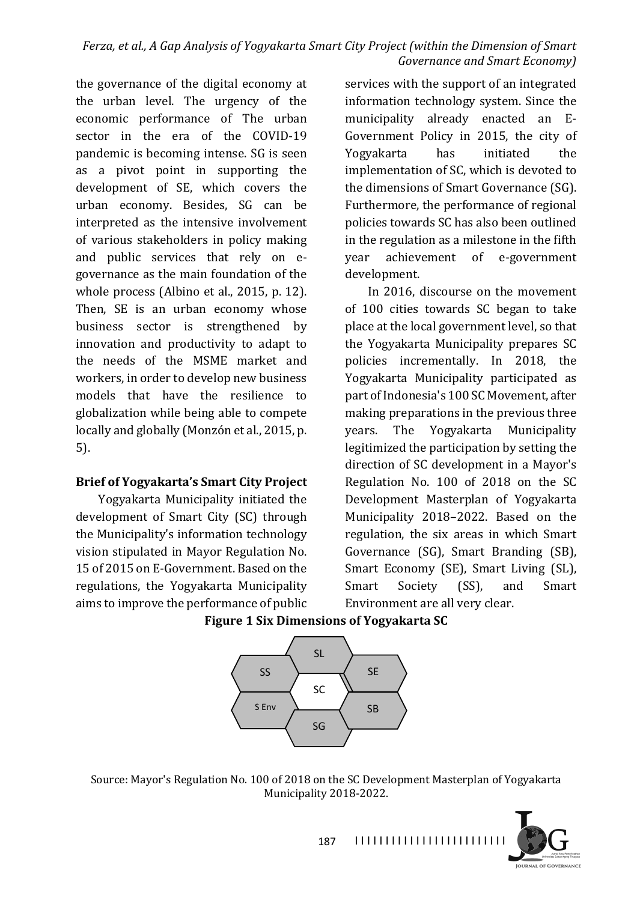the governance of the digital economy at the urban level. The urgency of the economic performance of The urban sector in the era of the COVID-19 pandemic is becoming intense. SG is seen as a pivot point in supporting the development of SE, which covers the urban economy. Besides, SG can be interpreted as the intensive involvement of various stakeholders in policy making and public services that rely on egovernance as the main foundation of the whole process (Albino et al.,  $2015$ , p. 12). Then, SE is an urban economy whose business sector is strengthened by innovation and productivity to adapt to the needs of the MSME market and workers, in order to develop new business models that have the resilience to globalization while being able to compete locally and globally (Monzón et al., 2015, p. 5).

#### **Brief of Yogyakarta's Smart City Project**

Yogyakarta Municipality initiated the development of Smart City (SC) through the Municipality's information technology vision stipulated in Mayor Regulation No. 15 of 2015 on E-Government. Based on the regulations, the Yogyakarta Municipality aims to improve the performance of public

services with the support of an integrated information technology system. Since the municipality already enacted an E-Government Policy in 2015, the city of Yogyakarta has initiated the implementation of SC, which is devoted to the dimensions of Smart Governance (SG). Furthermore, the performance of regional policies towards SC has also been outlined in the regulation as a milestone in the fifth year achievement of e-government development.

In 2016, discourse on the movement of 100 cities towards SC began to take place at the local government level, so that the Yogyakarta Municipality prepares SC policies incrementally. In 2018, the Yogyakarta Municipality participated as part of Indonesia's 100 SC Movement, after making preparations in the previous three years. The Yogyakarta Municipality legitimized the participation by setting the direction of SC development in a Mayor's Regulation No. 100 of 2018 on the SC Development Masterplan of Yogyakarta Municipality 2018-2022. Based on the regulation, the six areas in which Smart Governance (SG), Smart Branding (SB), Smart Economy (SE), Smart Living (SL), Smart Society (SS), and Smart Environment are all very clear.





Source: Mayor's Regulation No. 100 of 2018 on the SC Development Masterplan of Yogyakarta Municipality 2018-2022.

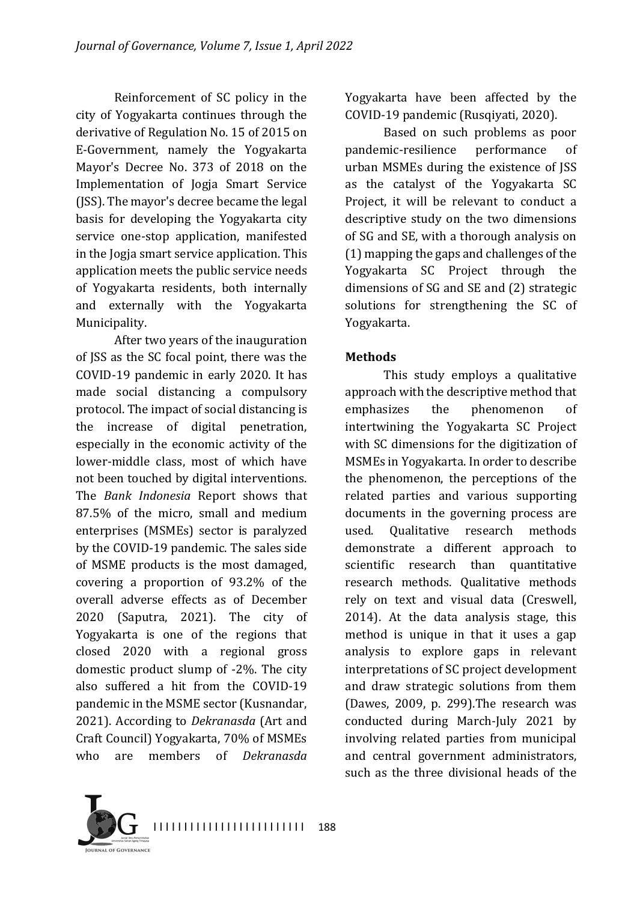Reinforcement of SC policy in the city of Yogyakarta continues through the derivative of Regulation No. 15 of 2015 on E-Government, namely the Yogyakarta Mayor's Decree No. 373 of 2018 on the Implementation of Jogja Smart Service (JSS). The mayor's decree became the legal basis for developing the Yogyakarta city service one-stop application, manifested in the logia smart service application. This application meets the public service needs of Yogyakarta residents, both internally and externally with the Yogyakarta Municipality.

After two years of the inauguration of JSS as the SC focal point, there was the COVID-19 pandemic in early 2020. It has made social distancing a compulsory protocol. The impact of social distancing is the increase of digital penetration, especially in the economic activity of the lower-middle class, most of which have not been touched by digital interventions. The *Bank Indonesia* Report shows that 87.5% of the micro, small and medium enterprises (MSMEs) sector is paralyzed by the COVID-19 pandemic. The sales side of MSME products is the most damaged, covering a proportion of 93.2% of the overall adverse effects as of December 2020 (Saputra, 2021). The city of Yogyakarta is one of the regions that closed 2020 with a regional gross domestic product slump of  $-2\%$ . The city also suffered a hit from the COVID-19 pandemic in the MSME sector (Kusnandar, 2021). According to *Dekranasda* (Art and Craft Council) Yogyakarta, 70% of MSMEs who are members of *Dekranasda*  Yogyakarta have been affected by the COVID-19 pandemic (Rusqiyati, 2020).

Based on such problems as poor pandemic-resilience performance of urban MSMEs during the existence of JSS as the catalyst of the Yogyakarta SC Project, it will be relevant to conduct a descriptive study on the two dimensions of SG and SE, with a thorough analysis on  $(1)$  mapping the gaps and challenges of the Yogyakarta SC Project through the dimensions of SG and SE and (2) strategic solutions for strengthening the SC of Yogyakarta.

#### **Methods**

This study employs a qualitative approach with the descriptive method that emphasizes the phenomenon of intertwining the Yogyakarta SC Project with SC dimensions for the digitization of MSMEs in Yogyakarta. In order to describe the phenomenon, the perceptions of the related parties and various supporting documents in the governing process are used. Qualitative research methods demonstrate a different approach to scientific research than quantitative research methods. Qualitative methods rely on text and visual data (Creswell, 2014). At the data analysis stage, this method is unique in that it uses a gap analysis to explore gaps in relevant interpretations of SC project development and draw strategic solutions from them (Dawes,  $2009$ , p.  $299$ ). The research was conducted during March-July 2021 by involving related parties from municipal and central government administrators, such as the three divisional heads of the

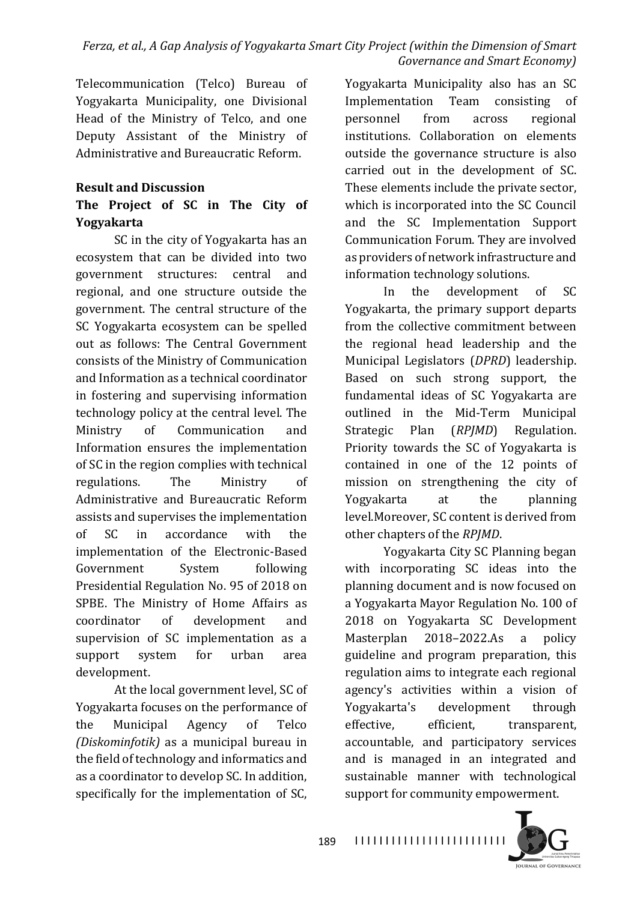Telecommunication (Telco) Bureau of Yogyakarta Municipality, one Divisional Head of the Ministry of Telco, and one Deputy Assistant of the Ministry of Administrative and Bureaucratic Reform.

#### **Result and Discussion**

## The Project of SC in The City of **Yogyakarta**

SC in the city of Yogyakarta has an ecosystem that can be divided into two government structures: central and regional, and one structure outside the government. The central structure of the SC Yogyakarta ecosystem can be spelled out as follows: The Central Government consists of the Ministry of Communication and Information as a technical coordinator in fostering and supervising information technology policy at the central level. The Ministry of Communication and Information ensures the implementation of SC in the region complies with technical regulations. The Ministry of Administrative and Bureaucratic Reform assists and supervises the implementation of SC in accordance with the implementation of the Electronic-Based Government System following Presidential Regulation No. 95 of 2018 on SPBE. The Ministry of Home Affairs as coordinator of development and supervision of SC implementation as a support system for urban area development.

At the local government level, SC of Yogyakarta focuses on the performance of the Municipal Agency of Telco *(Diskominfotik)* as a municipal bureau in the field of technology and informatics and as a coordinator to develop SC. In addition, specifically for the implementation of SC,

Yogyakarta Municipality also has an SC Implementation Team consisting of personnel from across regional institutions. Collaboration on elements outside the governance structure is also carried out in the development of SC. These elements include the private sector, which is incorporated into the SC Council and the SC Implementation Support Communication Forum. They are involved as providers of network infrastructure and information technology solutions.

In the development of SC Yogyakarta, the primary support departs from the collective commitment between the regional head leadership and the Municipal Legislators (*DPRD*) leadership. Based on such strong support, the fundamental ideas of SC Yogyakarta are outlined in the Mid-Term Municipal Strategic Plan (*RPJMD*) Regulation. Priority towards the SC of Yogyakarta is contained in one of the 12 points of mission on strengthening the city of Yogyakarta at the planning level.Moreover, SC content is derived from other chapters of the *RPJMD*.

Yogyakarta City SC Planning began with incorporating SC ideas into the planning document and is now focused on a Yogyakarta Mayor Regulation No. 100 of 2018 on Yogyakarta SC Development Masterplan 2018–2022.As a policy guideline and program preparation, this regulation aims to integrate each regional agency's activities within a vision of Yogyakarta's development through effective, efficient, transparent, accountable, and participatory services and is managed in an integrated and sustainable manner with technological support for community empowerment.

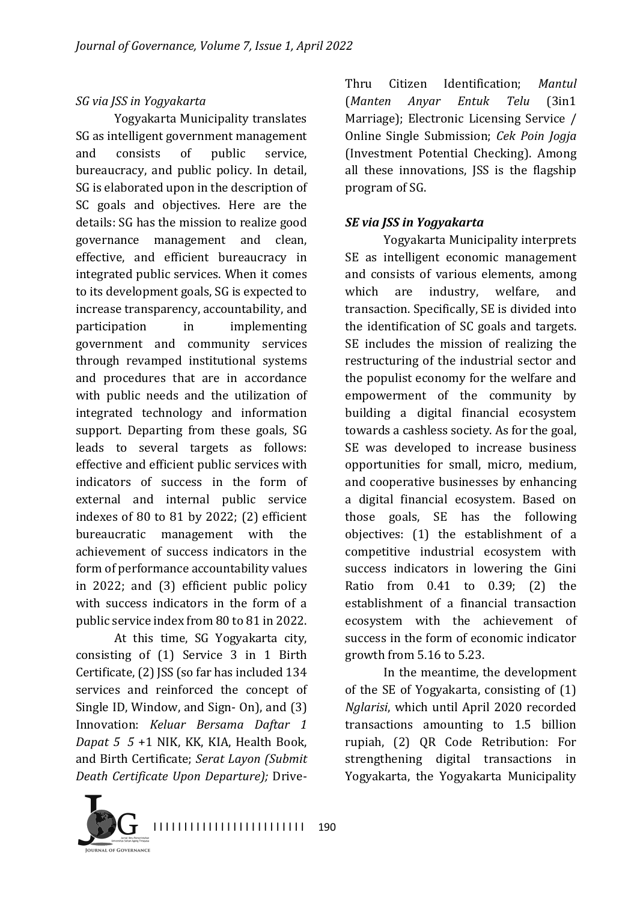### *SG via JSS in Yogyakarta*

Yogyakarta Municipality translates SG as intelligent government management and consists of public service, bureaucracy, and public policy. In detail, SG is elaborated upon in the description of SC goals and objectives. Here are the details: SG has the mission to realize good governance management and clean, effective, and efficient bureaucracy in integrated public services. When it comes to its development goals, SG is expected to increase transparency, accountability, and participation in implementing government and community services through revamped institutional systems and procedures that are in accordance with public needs and the utilization of integrated technology and information support. Departing from these goals, SG leads to several targets as follows: effective and efficient public services with indicators of success in the form of external and internal public service indexes of 80 to 81 by 2022;  $(2)$  efficient bureaucratic management with the achievement of success indicators in the form of performance accountability values in 2022; and (3) efficient public policy with success indicators in the form of a public service index from 80 to 81 in 2022.

At this time, SG Yogyakarta city, consisting of  $(1)$  Service 3 in 1 Birth Certificate, (2) JSS (so far has included 134 services and reinforced the concept of Single ID, Window, and Sign- On), and  $(3)$ Innovation: *Keluar Bersama Daftar 1 Dapat* 5 5 +1 NIK, KK, KIA, Health Book, and Birth Certificate; Serat Layon (Submit *Death Certificate Upon Departure);* Drive-

Thru Citizen Identification; *Mantul* (*Manten Anyar Entuk Telu* (3in1 Marriage); Electronic Licensing Service / Online Single Submission; *Cek Poin Jogja* (Investment Potential Checking). Among all these innovations, JSS is the flagship program of SG.

### **SE** via JSS in Yogyakarta

Yogyakarta Municipality interprets SE as intelligent economic management and consists of various elements, among which are industry, welfare, and transaction. Specifically, SE is divided into the identification of SC goals and targets. SE includes the mission of realizing the restructuring of the industrial sector and the populist economy for the welfare and empowerment of the community by building a digital financial ecosystem towards a cashless society. As for the goal, SE was developed to increase business opportunities for small, micro, medium, and cooperative businesses by enhancing a digital financial ecosystem. Based on those goals, SE has the following objectives: (1) the establishment of a competitive industrial ecosystem with success indicators in lowering the Gini Ratio from  $0.41$  to  $0.39$ ;  $(2)$  the establishment of a financial transaction ecosystem with the achievement of success in the form of economic indicator growth from  $5.16$  to  $5.23$ .

In the meantime, the development of the SE of Yogyakarta, consisting of  $(1)$ *Nglarisi*, which until April 2020 recorded transactions amounting to 1.5 billion rupiah, (2) QR Code Retribution: For strengthening digital transactions in Yogyakarta, the Yogyakarta Municipality

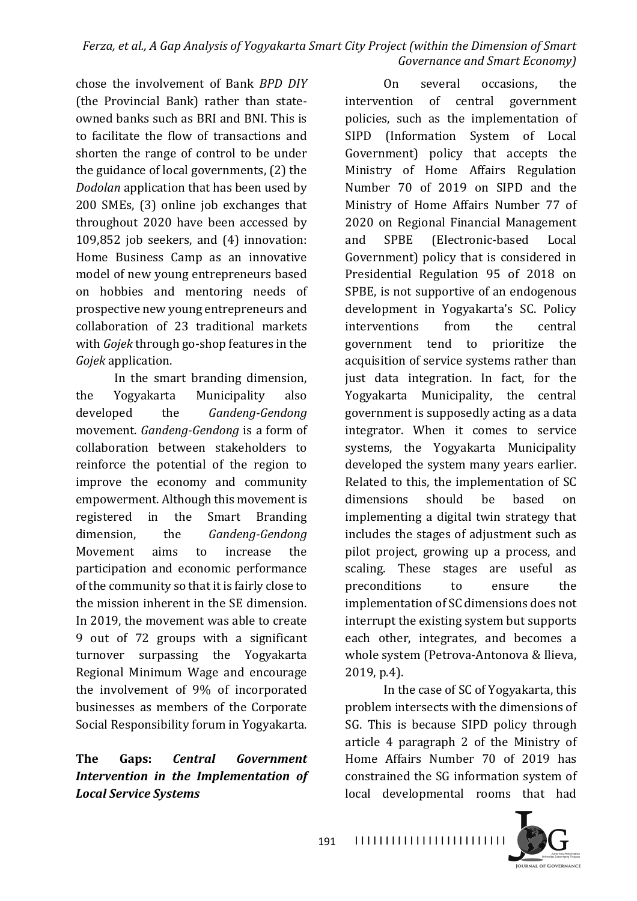chose the involvement of Bank *BPD DIY* (the Provincial Bank) rather than stateowned banks such as BRI and BNI. This is to facilitate the flow of transactions and shorten the range of control to be under the guidance of local governments,  $(2)$  the *Dodolan* application that has been used by 200 SMEs, (3) online job exchanges that throughout 2020 have been accessed by 109,852 job seekers, and  $(4)$  innovation: Home Business Camp as an innovative model of new young entrepreneurs based on hobbies and mentoring needs of prospective new young entrepreneurs and collaboration of 23 traditional markets with *Gojek* through go-shop features in the *Gojek* application.

In the smart branding dimension, the Yogyakarta Municipality also developed the *Gandeng-Gendong* movement. *Gandeng-Gendong* is a form of collaboration between stakeholders to reinforce the potential of the region to improve the economy and community empowerment. Although this movement is registered in the Smart Branding dimension, the *Gandeng-Gendong* Movement aims to increase the participation and economic performance of the community so that it is fairly close to the mission inherent in the SE dimension. In 2019, the movement was able to create 9 out of 72 groups with a significant turnover surpassing the Yogyakarta Regional Minimum Wage and encourage the involvement of  $9\%$  of incorporated businesses as members of the Corporate Social Responsibility forum in Yogyakarta.

## The Gaps: *Central Government Intervention in the Implementation of Local Service Systems*

On several occasions, the intervention of central government policies, such as the implementation of SIPD (Information System of Local Government) policy that accepts the Ministry of Home Affairs Regulation Number 70 of 2019 on SIPD and the Ministry of Home Affairs Number 77 of 2020 on Regional Financial Management and SPBE (Electronic-based Local Government) policy that is considered in Presidential Regulation 95 of 2018 on SPBE, is not supportive of an endogenous development in Yogyakarta's SC. Policy interventions from the central government tend to prioritize the acquisition of service systems rather than just data integration. In fact, for the Yogyakarta Municipality, the central government is supposedly acting as a data integrator. When it comes to service systems, the Yogyakarta Municipality developed the system many years earlier. Related to this, the implementation of SC dimensions should be based on implementing a digital twin strategy that includes the stages of adjustment such as pilot project, growing up a process, and scaling. These stages are useful as preconditions to ensure the implementation of SC dimensions does not interrupt the existing system but supports each other, integrates, and becomes a whole system (Petrova-Antonova & Ilieva, 2019, p.4).

In the case of SC of Yogyakarta, this problem intersects with the dimensions of SG. This is because SIPD policy through article 4 paragraph 2 of the Ministry of Home Affairs Number 70 of 2019 has constrained the SG information system of local developmental rooms that had

**JOURNAL OF GOVERNANCE**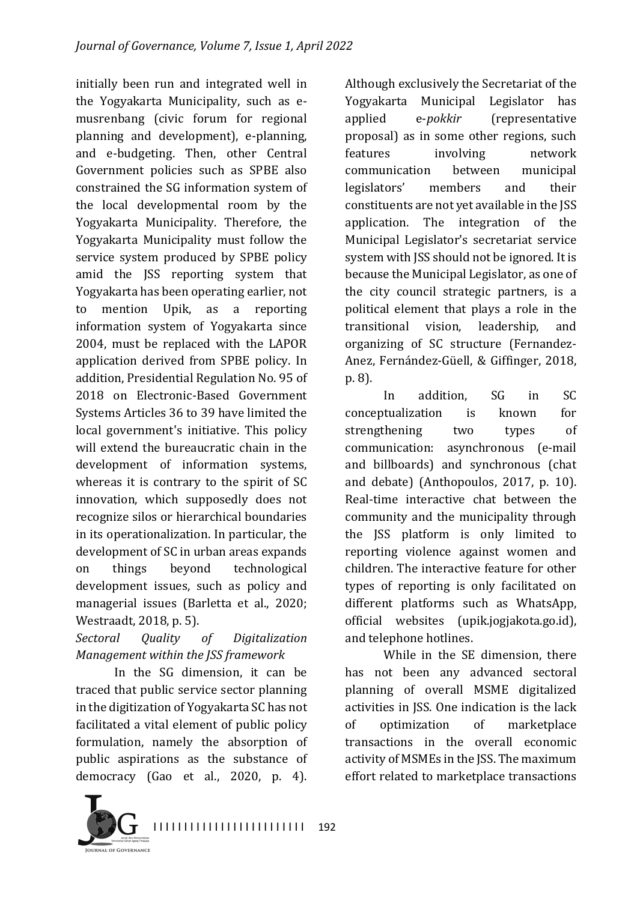initially been run and integrated well in the Yogyakarta Municipality, such as emusrenbang (civic forum for regional planning and development), e-planning, and e-budgeting. Then, other Central Government policies such as SPBE also constrained the SG information system of the local developmental room by the Yogyakarta Municipality. Therefore, the Yogyakarta Municipality must follow the service system produced by SPBE policy amid the JSS reporting system that Yogyakarta has been operating earlier, not to mention Upik, as a reporting information system of Yogyakarta since 2004, must be replaced with the LAPOR application derived from SPBE policy. In addition, Presidential Regulation No. 95 of 2018 on Electronic-Based Government Systems Articles 36 to 39 have limited the local government's initiative. This policy will extend the bureaucratic chain in the development of information systems, whereas it is contrary to the spirit of SC innovation, which supposedly does not recognize silos or hierarchical boundaries in its operationalization. In particular, the development of SC in urban areas expands on things beyond technological development issues, such as policy and managerial issues (Barletta et al., 2020; Westraadt, 2018, p. 5).

### *Sectoral Quality of Digitalization Management within the JSS framework*

In the SG dimension, it can be traced that public service sector planning in the digitization of Yogyakarta SC has not facilitated a vital element of public policy formulation, namely the absorption of public aspirations as the substance of democracy (Gao et al., 2020, p. 4).

Although exclusively the Secretariat of the Yogyakarta Municipal Legislator has applied e-*pokkir* (representative proposal) as in some other regions, such features involving network communication between municipal legislators' members and their constituents are not yet available in the JSS application. The integration of the Municipal Legislator's secretariat service system with JSS should not be ignored. It is because the Municipal Legislator, as one of the city council strategic partners, is a political element that plays a role in the transitional vision, leadership, and organizing of SC structure (Fernandez-Anez, Fernández-Güell, & Giffinger, 2018, p. 8).

In addition, SG in SC conceptualization is known for strengthening two types of communication: asynchronous (e-mail and billboards) and synchronous (chat and debate) (Anthopoulos, 2017, p. 10). Real-time interactive chat between the community and the municipality through the JSS platform is only limited to reporting violence against women and children. The interactive feature for other types of reporting is only facilitated on different platforms such as WhatsApp. official websites (upik.jogjakota.go.id), and telephone hotlines.

While in the SE dimension, there has not been any advanced sectoral planning of overall MSME digitalized activities in JSS. One indication is the lack of optimization of marketplace transactions in the overall economic activity of MSMEs in the ISS. The maximum effort related to marketplace transactions

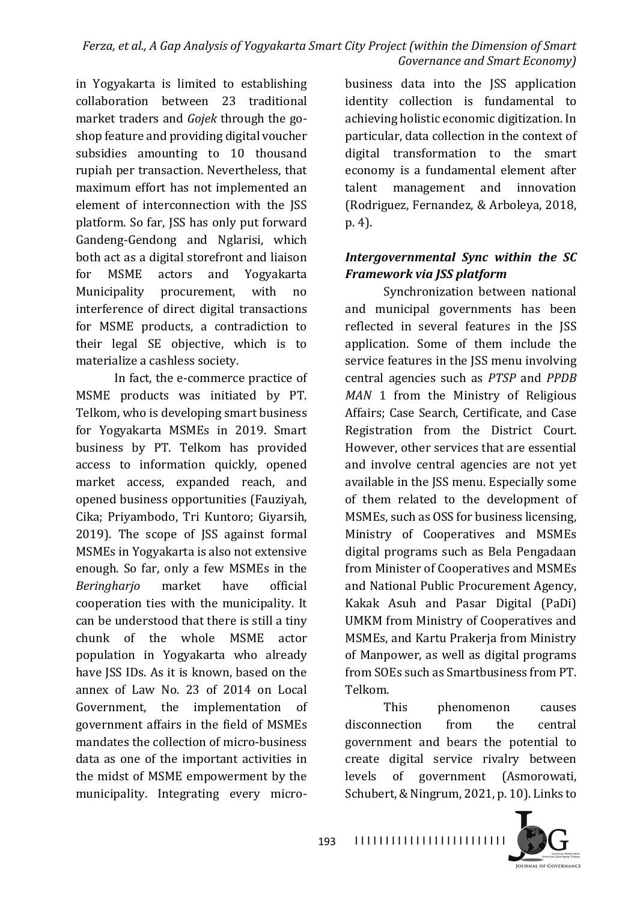in Yogyakarta is limited to establishing collaboration between 23 traditional market traders and *Gojek* through the goshop feature and providing digital voucher subsidies amounting to 10 thousand rupiah per transaction. Nevertheless, that maximum effort has not implemented an element of interconnection with the JSS platform. So far, JSS has only put forward Gandeng-Gendong and Nglarisi, which both act as a digital storefront and liaison for MSME actors and Yogyakarta Municipality procurement, with no interference of direct digital transactions for MSME products, a contradiction to their legal SE objective, which is to materialize a cashless society.

In fact, the e-commerce practice of MSME products was initiated by PT. Telkom, who is developing smart business for Yogyakarta MSMEs in 2019. Smart business by PT. Telkom has provided access to information quickly, opened market access, expanded reach, and opened business opportunities (Fauziyah, Cika; Priyambodo, Tri Kuntoro; Giyarsih, 2019). The scope of JSS against formal MSMEs in Yogyakarta is also not extensive enough. So far, only a few MSMEs in the *Beringharjo* market have official cooperation ties with the municipality. It can be understood that there is still a tiny chunk of the whole MSME actor population in Yogyakarta who already have JSS IDs. As it is known, based on the annex of Law No. 23 of 2014 on Local Government, the implementation of government affairs in the field of MSMEs mandates the collection of micro-business data as one of the important activities in the midst of MSME empowerment by the municipality. Integrating every microbusiness data into the JSS application identity collection is fundamental to achieving holistic economic digitization. In particular, data collection in the context of digital transformation to the smart economy is a fundamental element after talent management and innovation (Rodriguez, Fernandez, & Arboleya, 2018, p. 4).

### *Intergovernmental Sync within the SC Framework via JSS platform*

Synchronization between national and municipal governments has been reflected in several features in the JSS application. Some of them include the service features in the JSS menu involving central agencies such as *PTSP* and *PPDB MAN* 1 from the Ministry of Religious Affairs; Case Search, Certificate, and Case Registration from the District Court. However, other services that are essential and involve central agencies are not vet available in the JSS menu. Especially some of them related to the development of MSMEs, such as OSS for business licensing, Ministry of Cooperatives and MSMEs digital programs such as Bela Pengadaan from Minister of Cooperatives and MSMEs and National Public Procurement Agency, Kakak Asuh and Pasar Digital (PaDi) UMKM from Ministry of Cooperatives and MSMEs, and Kartu Prakerja from Ministry of Manpower, as well as digital programs from SOEs such as Smartbusiness from PT. Telkom.

This phenomenon causes disconnection from the central government and bears the potential to create digital service rivalry between levels of government (Asmorowati, Schubert, & Ningrum, 2021, p. 10). Links to

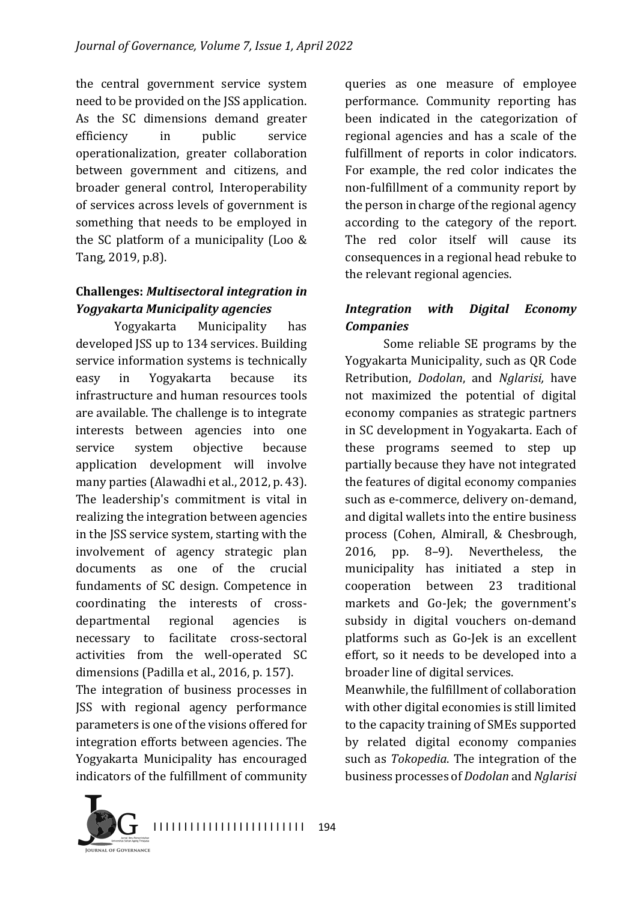the central government service system need to be provided on the JSS application. As the SC dimensions demand greater efficiency in public service operationalization, greater collaboration between government and citizens, and broader general control, Interoperability of services across levels of government is something that needs to be employed in the SC platform of a municipality (Loo  $&$ Tang, 2019, p.8).

### **Challenges:** *Multisectoral integration in Yogyakarta Municipality agencies*

Yogyakarta Municipality has developed JSS up to 134 services. Building service information systems is technically easy in Yogyakarta because its infrastructure and human resources tools are available. The challenge is to integrate interests between agencies into one service system objective because application development will involve many parties (Alawadhi et al., 2012, p. 43). The leadership's commitment is vital in realizing the integration between agencies in the JSS service system, starting with the involvement of agency strategic plan documents as one of the crucial fundaments of SC design. Competence in coordinating the interests of crossdepartmental regional agencies is necessary to facilitate cross-sectoral activities from the well-operated SC dimensions (Padilla et al., 2016, p. 157). The integration of business processes in JSS with regional agency performance 

parameters is one of the visions offered for integration efforts between agencies. The Yogyakarta Municipality has encouraged indicators of the fulfillment of community

queries as one measure of employee performance. Community reporting has been indicated in the categorization of regional agencies and has a scale of the fulfillment of reports in color indicators. For example, the red color indicates the non-fulfillment of a community report by the person in charge of the regional agency according to the category of the report. The red color itself will cause its consequences in a regional head rebuke to the relevant regional agencies.

### *Integration with Digital Economy Companies*

Some reliable SE programs by the Yogyakarta Municipality, such as QR Code Retribution, *Dodolan*, and *Nglarisi,* have not maximized the potential of digital economy companies as strategic partners in SC development in Yogyakarta. Each of these programs seemed to step up partially because they have not integrated the features of digital economy companies such as e-commerce, delivery on-demand, and digital wallets into the entire business process (Cohen, Almirall, & Chesbrough, 2016, pp. 8–9). Nevertheless, the municipality has initiated a step in cooperation between 23 traditional markets and Go-Jek; the government's subsidy in digital vouchers on-demand platforms such as Go-Jek is an excellent effort, so it needs to be developed into a broader line of digital services.

Meanwhile, the fulfillment of collaboration with other digital economies is still limited to the capacity training of SMEs supported by related digital economy companies such as *Tokopedia*. The integration of the business processes of *Dodolan* and *Nglarisi*

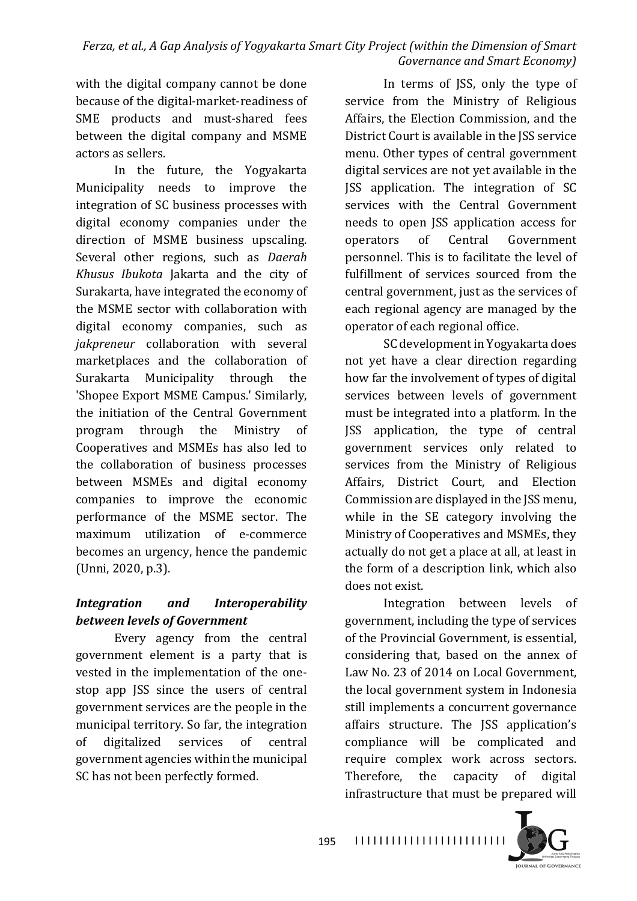#### *Ferza, et al., A Gap Analysis of Yogyakarta Smart City Project (within the Dimension of Smart Governance and Smart Economy*)

with the digital company cannot be done because of the digital-market-readiness of SME products and must-shared fees between the digital company and MSME actors as sellers.

In the future, the Yogyakarta Municipality needs to improve the integration of SC business processes with digital economy companies under the direction of MSME business upscaling. Several other regions, such as *Daerah Khusus Ibukota* Jakarta and the city of Surakarta, have integrated the economy of the MSME sector with collaboration with digital economy companies, such as *jakpreneur* collaboration with several marketplaces and the collaboration of Surakarta Municipality through the 'Shopee Export MSME Campus.' Similarly, the initiation of the Central Government program through the Ministry of Cooperatives and MSMEs has also led to the collaboration of business processes between MSMEs and digital economy companies to improve the economic performance of the MSME sector. The maximum utilization of e-commerce becomes an urgency, hence the pandemic (Unni, 2020, p.3).

## *Integration* and *Interoperability between levels of Government*

Every agency from the central government element is a party that is vested in the implementation of the onestop app JSS since the users of central government services are the people in the municipal territory. So far, the integration of digitalized services of central government agencies within the municipal SC has not been perfectly formed.

In terms of JSS, only the type of service from the Ministry of Religious Affairs, the Election Commission, and the District Court is available in the ISS service menu. Other types of central government digital services are not yet available in the JSS application. The integration of SC services with the Central Government needs to open JSS application access for operators of Central Government personnel. This is to facilitate the level of fulfillment of services sourced from the central government, just as the services of each regional agency are managed by the operator of each regional office.

SC development in Yogyakarta does not yet have a clear direction regarding how far the involvement of types of digital services between levels of government must be integrated into a platform. In the JSS application, the type of central government services only related to services from the Ministry of Religious Affairs, District Court, and Election Commission are displayed in the JSS menu, while in the SE category involving the Ministry of Cooperatives and MSMEs, they actually do not get a place at all, at least in the form of a description link, which also does not exist.

Integration between levels of government, including the type of services of the Provincial Government, is essential, considering that, based on the annex of Law No. 23 of 2014 on Local Government, the local government system in Indonesia still implements a concurrent governance affairs structure. The JSS application's compliance will be complicated and require complex work across sectors. Therefore, the capacity of digital infrastructure that must be prepared will

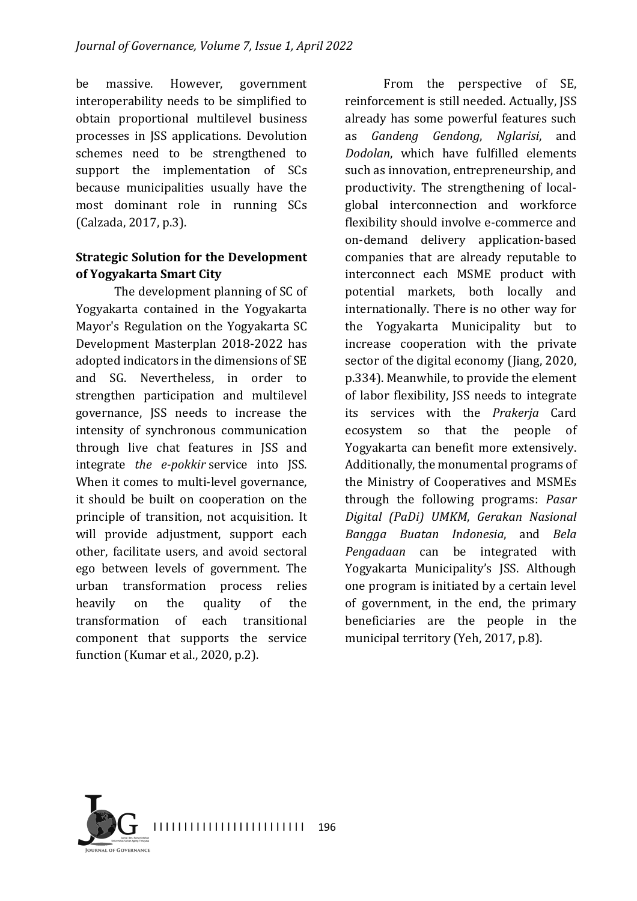be massive. However, government interoperability needs to be simplified to obtain proportional multilevel business processes in JSS applications. Devolution schemes need to be strengthened to support the implementation of SCs because municipalities usually have the most dominant role in running SCs (Calzada, 2017, p.3).

#### **Strategic Solution for the Development of Yogyakarta Smart City**

The development planning of SC of Yogyakarta contained in the Yogyakarta Mayor's Regulation on the Yogyakarta SC Development Masterplan 2018-2022 has adopted indicators in the dimensions of SE and SG. Nevertheless, in order to strengthen participation and multilevel governance, JSS needs to increase the intensity of synchronous communication through live chat features in JSS and integrate *the e-pokkir* service into JSS. When it comes to multi-level governance, it should be built on cooperation on the principle of transition, not acquisition. It will provide adjustment, support each other, facilitate users, and avoid sectoral ego between levels of government. The urban transformation process relies heavily on the quality of the transformation of each transitional component that supports the service function (Kumar et al.,  $2020$ , p.2).

From the perspective of SE, reinforcement is still needed. Actually, JSS already has some powerful features such as *Gandeng Gendong*, *Nglarisi*, and *Dodolan*, which have fulfilled elements such as innovation, entrepreneurship, and productivity. The strengthening of localglobal interconnection and workforce flexibility should involve e-commerce and on-demand delivery application-based companies that are already reputable to interconnect each MSME product with potential markets, both locally and internationally. There is no other way for the Yogyakarta Municipality but to increase cooperation with the private sector of the digital economy (Jiang, 2020, p.334). Meanwhile, to provide the element of labor flexibility, JSS needs to integrate its services with the *Prakerja* Card ecosystem so that the people of Yogyakarta can benefit more extensively. Additionally, the monumental programs of the Ministry of Cooperatives and MSMEs through the following programs: *Pasar Digital (PaDi) UMKM*, *Gerakan Nasional Bangga Buatan Indonesia*, and *Bela Pengadaan* can be integrated with Yogyakarta Municipality's JSS. Although one program is initiated by a certain level of government, in the end, the primary beneficiaries are the people in the municipal territory (Yeh, 2017, p.8).

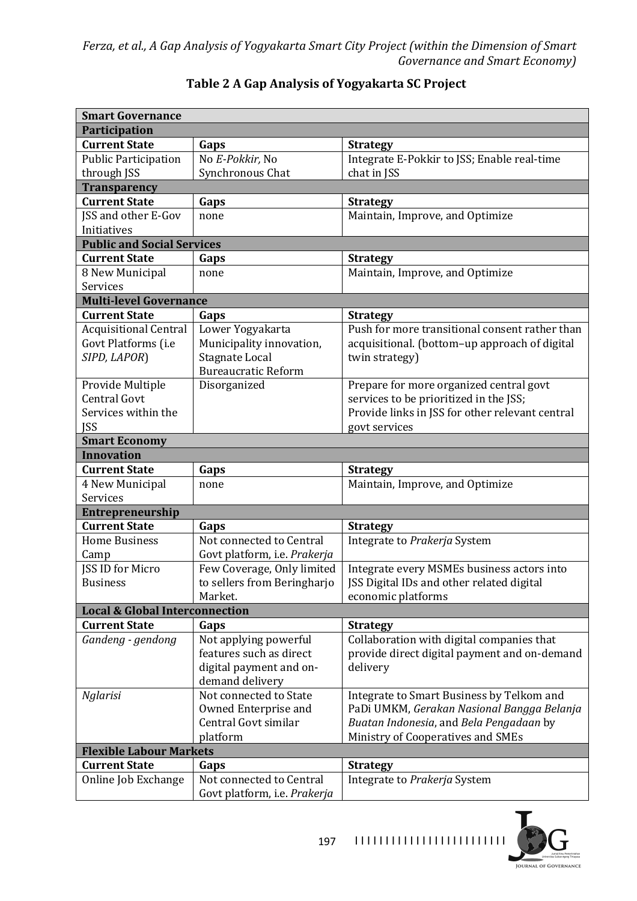| <b>Smart Governance</b>                   |                                                           |                                                 |  |  |  |  |  |
|-------------------------------------------|-----------------------------------------------------------|-------------------------------------------------|--|--|--|--|--|
| <b>Participation</b>                      |                                                           |                                                 |  |  |  |  |  |
| <b>Current State</b>                      | Gaps                                                      | <b>Strategy</b>                                 |  |  |  |  |  |
| <b>Public Participation</b>               | No E-Pokkir, No                                           | Integrate E-Pokkir to JSS; Enable real-time     |  |  |  |  |  |
| through JSS                               | Synchronous Chat                                          | chat in JSS                                     |  |  |  |  |  |
| <b>Transparency</b>                       |                                                           |                                                 |  |  |  |  |  |
| <b>Current State</b>                      | Gaps                                                      | <b>Strategy</b>                                 |  |  |  |  |  |
| JSS and other E-Gov                       | none                                                      | Maintain, Improve, and Optimize                 |  |  |  |  |  |
| Initiatives                               |                                                           |                                                 |  |  |  |  |  |
| <b>Public and Social Services</b>         |                                                           |                                                 |  |  |  |  |  |
| <b>Current State</b>                      | Gaps                                                      | <b>Strategy</b>                                 |  |  |  |  |  |
| 8 New Municipal                           | none                                                      | Maintain, Improve, and Optimize                 |  |  |  |  |  |
| Services                                  |                                                           |                                                 |  |  |  |  |  |
| <b>Multi-level Governance</b>             |                                                           |                                                 |  |  |  |  |  |
| <b>Current State</b>                      | Gaps                                                      | <b>Strategy</b>                                 |  |  |  |  |  |
| <b>Acquisitional Central</b>              | Lower Yogyakarta                                          | Push for more transitional consent rather than  |  |  |  |  |  |
| Govt Platforms (i.e                       | Municipality innovation,                                  | acquisitional. (bottom-up approach of digital   |  |  |  |  |  |
| SIPD, LAPOR)                              | <b>Stagnate Local</b>                                     | twin strategy)                                  |  |  |  |  |  |
|                                           | <b>Bureaucratic Reform</b>                                |                                                 |  |  |  |  |  |
| Provide Multiple                          | Disorganized                                              | Prepare for more organized central govt         |  |  |  |  |  |
| <b>Central Govt</b>                       |                                                           | services to be prioritized in the JSS;          |  |  |  |  |  |
| Services within the                       |                                                           | Provide links in JSS for other relevant central |  |  |  |  |  |
| <b>JSS</b>                                |                                                           | govt services                                   |  |  |  |  |  |
| <b>Smart Economy</b>                      |                                                           |                                                 |  |  |  |  |  |
| <b>Innovation</b>                         |                                                           |                                                 |  |  |  |  |  |
| <b>Current State</b>                      | Gaps                                                      | <b>Strategy</b>                                 |  |  |  |  |  |
| 4 New Municipal                           | none                                                      | Maintain, Improve, and Optimize                 |  |  |  |  |  |
| Services                                  |                                                           |                                                 |  |  |  |  |  |
|                                           |                                                           |                                                 |  |  |  |  |  |
| Entrepreneurship<br><b>Current State</b>  |                                                           |                                                 |  |  |  |  |  |
|                                           | Gaps<br>Not connected to Central                          | <b>Strategy</b>                                 |  |  |  |  |  |
| <b>Home Business</b>                      |                                                           | Integrate to Prakerja System                    |  |  |  |  |  |
| Camp<br><b>JSS ID for Micro</b>           | Govt platform, i.e. Prakerja                              |                                                 |  |  |  |  |  |
|                                           | Few Coverage, Only limited<br>to sellers from Beringharjo | Integrate every MSMEs business actors into      |  |  |  |  |  |
| <b>Business</b>                           |                                                           | JSS Digital IDs and other related digital       |  |  |  |  |  |
|                                           | Market.                                                   | economic platforms                              |  |  |  |  |  |
| <b>Local &amp; Global Interconnection</b> |                                                           |                                                 |  |  |  |  |  |
| <b>Current State</b>                      | Gaps                                                      | <b>Strategy</b>                                 |  |  |  |  |  |
| Gandeng - gendong                         | Not applying powerful                                     | Collaboration with digital companies that       |  |  |  |  |  |
|                                           | features such as direct                                   | provide direct digital payment and on-demand    |  |  |  |  |  |
|                                           | digital payment and on-                                   | delivery                                        |  |  |  |  |  |
|                                           | demand delivery                                           |                                                 |  |  |  |  |  |
| Nglarisi                                  | Not connected to State                                    | Integrate to Smart Business by Telkom and       |  |  |  |  |  |
|                                           | Owned Enterprise and                                      | PaDi UMKM, Gerakan Nasional Bangga Belanja      |  |  |  |  |  |
|                                           | Central Govt similar                                      | Buatan Indonesia, and Bela Pengadaan by         |  |  |  |  |  |
|                                           | platform                                                  | Ministry of Cooperatives and SMEs               |  |  |  |  |  |
| <b>Flexible Labour Markets</b>            |                                                           |                                                 |  |  |  |  |  |
| <b>Current State</b>                      | Gaps                                                      | <b>Strategy</b>                                 |  |  |  |  |  |
| Online Job Exchange                       | Not connected to Central                                  | Integrate to Prakerja System                    |  |  |  |  |  |
|                                           | Govt platform, i.e. Prakerja                              |                                                 |  |  |  |  |  |

## **Table 2 A Gap Analysis of Yogyakarta SC Project**

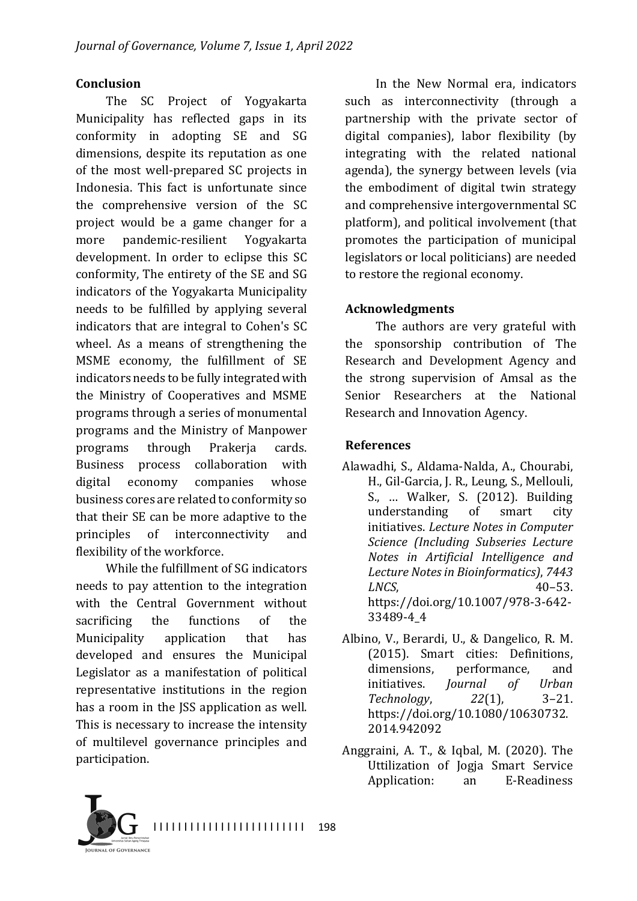#### **Conclusion**

The SC Project of Yogyakarta Municipality has reflected gaps in its conformity in adopting SE and SG dimensions, despite its reputation as one of the most well-prepared SC projects in Indonesia. This fact is unfortunate since the comprehensive version of the SC project would be a game changer for a more pandemic-resilient Yogyakarta development. In order to eclipse this SC conformity, The entirety of the SE and SG indicators of the Yogyakarta Municipality needs to be fulfilled by applying several indicators that are integral to Cohen's SC wheel. As a means of strengthening the MSME economy, the fulfillment of SE indicators needs to be fully integrated with the Ministry of Cooperatives and MSME programs through a series of monumental programs and the Ministry of Manpower programs through Prakerja cards. Business process collaboration with digital economy companies whose business cores are related to conformity so that their SE can be more adaptive to the principles of interconnectivity and flexibility of the workforce.

While the fulfillment of SG indicators needs to pay attention to the integration with the Central Government without sacrificing the functions of the Municipality application that has developed and ensures the Municipal Legislator as a manifestation of political representative institutions in the region has a room in the JSS application as well. This is necessary to increase the intensity of multilevel governance principles and participation.

In the New Normal era, indicators such as interconnectivity (through a partnership with the private sector of digital companies), labor flexibility (by integrating with the related national agenda), the synergy between levels (via the embodiment of digital twin strategy and comprehensive intergovernmental SC platform), and political involvement (that promotes the participation of municipal legislators or local politicians) are needed to restore the regional economy.

### **Acknowledgments**

The authors are very grateful with the sponsorship contribution of The Research and Development Agency and the strong supervision of Amsal as the Senior Researchers at the National Research and Innovation Agency.

### **References**

- Alawadhi, S., Aldama-Nalda, A., Chourabi, H., Gil-Garcia, J. R., Leung, S., Mellouli, S., ... Walker, S. (2012). Building understanding of smart city initiatives. *Lecture Notes in Computer Science (Including Subseries Lecture Notes in Artificial Intelligence and*  Lecture Notes in Bioinformatics), 7443 *LNCS*, 40–53. https://doi.org/10.1007/978-3-642- 33489-4\_4
- Albino, V., Berardi, U., & Dangelico, R. M. (2015). Smart cities: Definitions, dimensions, performance, and initiatives. *Journal of Urban Technology*, *22*(1), 3–21. https://doi.org/10.1080/10630732. 2014.942092
- Anggraini, A. T., & Iqbal, M.  $(2020)$ . The Uttilization of Iogia Smart Service Application: an E-Readiness

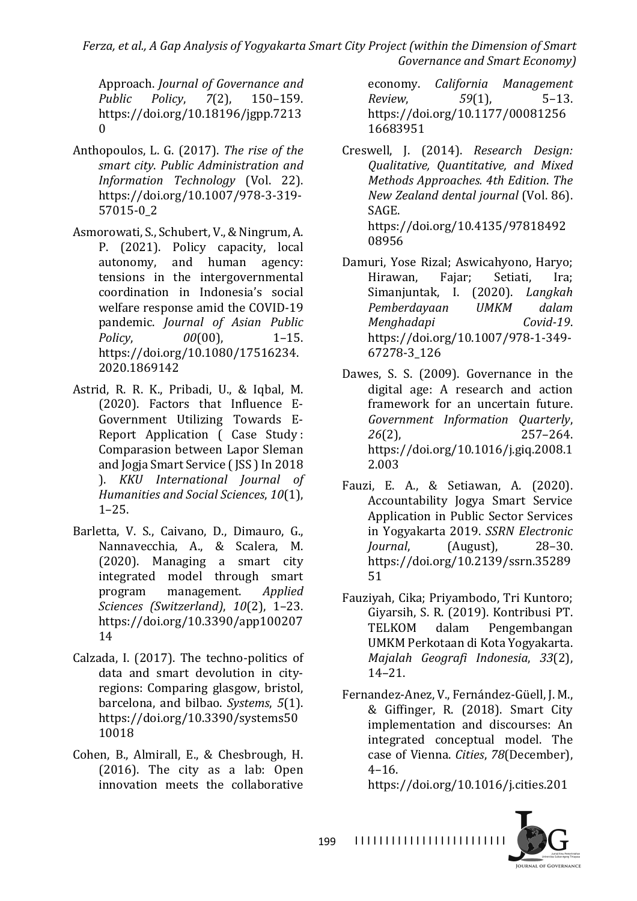*Ferza, et al., A Gap Analysis of Yogyakarta Smart City Project (within the Dimension of Smart Governance and Smart Economy)*

Approach. *Journal of Governance and Public Policy*, *7*(2), 150–159. https://doi.org/10.18196/jgpp.7213  $\Omega$ 

- Anthopoulos, L. G. (2017). The rise of the *smart city*. *Public Administration and Information Technology* (Vol. 22). https://doi.org/10.1007/978-3-319- 57015-0\_2
- Asmorowati, S., Schubert, V., & Ningrum, A. P. (2021). Policy capacity, local autonomy, and human agency: tensions in the intergovernmental coordination in Indonesia's social welfare response amid the COVID-19 pandemic. *Journal of Asian Public Policy*,  $00(00)$ , 1–15. https://doi.org/10.1080/17516234. 2020.1869142
- Astrid, R. R. K., Pribadi, U., & Iqbal, M. (2020). Factors that Influence E-Government Utilizing Towards E-Report Application ( Case Study: Comparasion between Lapor Sleman and Jogja Smart Service (JSS) In 2018 ). *KKU International Journal of Humanities and Social Sciences, 10*(1), 1–25.
- Barletta, V. S., Caivano, D., Dimauro, G., Nannavecchia, A., & Scalera, M. (2020). Managing a smart city integrated model through smart program management. *Applied Sciences (Switzerland)*, *10*(2), 1–23. https://doi.org/10.3390/app100207 14
- Calzada, I. (2017). The techno-politics of data and smart devolution in cityregions: Comparing glasgow, bristol, barcelona, and bilbao. *Systems*, 5(1). https://doi.org/10.3390/systems50 10018
- Cohen, B., Almirall, E., & Chesbrough, H.  $(2016)$ . The city as a lab: Open innovation meets the collaborative

economy. *California Management Review*, *59*(1), 5–13. https://doi.org/10.1177/00081256 16683951

- Creswell, J. (2014). *Research Design: Qualitative, Quantitative, and Mixed Methods Approaches. 4th Edition*. *The New Zealand dental journal* (Vol. 86). SAGE. https://doi.org/10.4135/97818492 08956
- Damuri, Yose Rizal; Aswicahyono, Haryo; Hirawan, Fajar; Setiati, Ira; Simanjuntak, I. (2020). *Langkah Pemberdayaan UMKM dalam Menghadapi Covid-19*. https://doi.org/10.1007/978-1-349- 67278-3\_126
- Dawes, S. S. (2009). Governance in the digital age: A research and action framework for an uncertain future. *Government Information Quarterly*, 26(2), 257–264. https://doi.org/10.1016/j.giq.2008.1 2.003
- Fauzi, E. A., & Setiawan, A. (2020). Accountability Jogya Smart Service Application in Public Sector Services in Yogyakarta 2019. *SSRN Electronic Journal.* (August), 28–30. https://doi.org/10.2139/ssrn.35289 51
- Fauziyah, Cika; Priyambodo, Tri Kuntoro; Giyarsih, S. R. (2019). Kontribusi PT. TELKOM dalam Pengembangan UMKM Perkotaan di Kota Yogyakarta. *Majalah Geografi Indonesia*, *33*(2), 14–21.
- Fernandez-Anez, V., Fernández-Güell, J. M., & Giffinger, R. (2018). Smart City implementation and discourses: An integrated conceptual model. The case of Vienna. *Cities*, *78*(December),  $4 - 16.$

https://doi.org/10.1016/j.cities.201

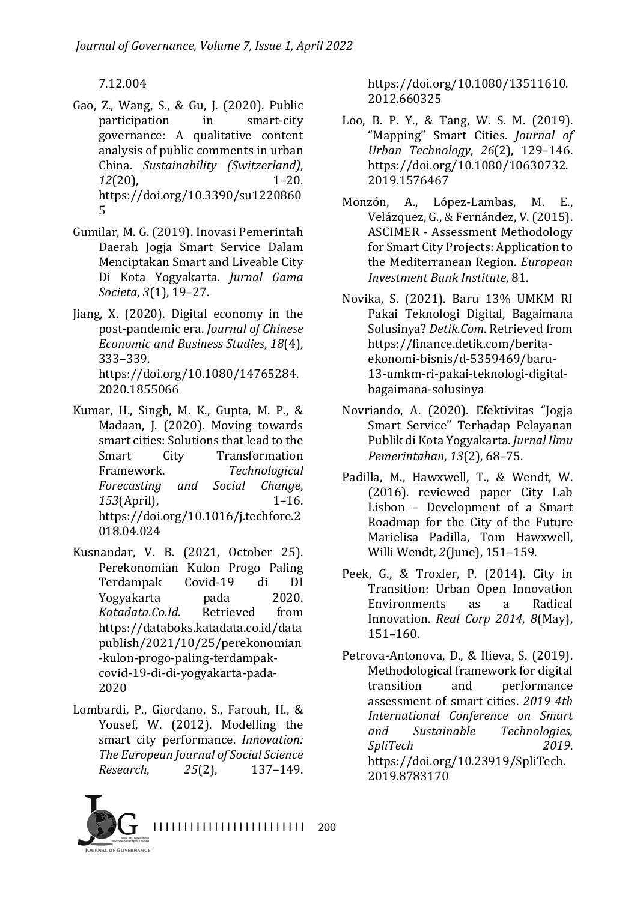7.12.004

- Gao, Z., Wang, S., & Gu, J. (2020). Public participation in smart-city governance: A qualitative content analysis of public comments in urban China. *Sustainability (Switzerland)*, *12*(20), 1–20. https://doi.org/10.3390/su1220860 5
- Gumilar, M. G. (2019). Inovasi Pemerintah Daerah Jogja Smart Service Dalam Menciptakan Smart and Liveable City Di Kota Yogyakarta. *Jurnal Gama Societa*, *3*(1), 19–27.
- Jiang, X.  $(2020)$ . Digital economy in the post-pandemic era. *Journal of Chinese Economic and Business Studies, 18*(4), 333–339. https://doi.org/10.1080/14765284. 2020.1855066
- Kumar, H., Singh, M. K., Gupta, M. P., & Madaan, J. (2020). Moving towards smart cities: Solutions that lead to the Smart City Transformation Framework. Technological *Forecasting and Social Change*, *153*(April), 1–16. https://doi.org/10.1016/j.techfore.2 018.04.024
- Kusnandar, V. B. (2021, October 25). Perekonomian Kulon Progo Paling Terdampak Covid-19 di DI Yogyakarta pada 2020. *Katadata.Co.Id*. Retrieved from https://databoks.katadata.co.id/data publish/2021/10/25/perekonomian -kulon-progo-paling-terdampakcovid-19-di-di-yogyakarta-pada-2020
- Lombardi, P., Giordano, S., Farouh, H., & Yousef, W. (2012). Modelling the smart city performance. *Innovation:* **The European Journal of Social Science** *Research*, *25*(2), 137–149.

https://doi.org/10.1080/13511610. 2012.660325

- Loo, B. P. Y., & Tang, W. S. M. (2019). "Mapping" Smart Cities. *Journal of Urban Technology*, *26*(2), 129–146. https://doi.org/10.1080/10630732. 2019.1576467
- Monzón, A., López-Lambas, M. E., Velázquez, G., & Fernández, V. (2015). ASCIMER - Assessment Methodology for Smart City Projects: Application to the Mediterranean Region. *European Investment Bank Institute*, 81.
- Novika, S. (2021). Baru 13% UMKM RI Pakai Teknologi Digital, Bagaimana Solusinya? *Detik.Com*. Retrieved from https://finance.detik.com/beritaekonomi-bisnis/d-5359469/baru-13-umkm-ri-pakai-teknologi-digitalbagaimana-solusinya
- Novriando, A. (2020). Efektivitas "Jogja Smart Service" Terhadap Pelayanan Publik di Kota Yogyakarta. *Jurnal Ilmu Pemerintahan*, *13*(2), 68–75.
- Padilla, M., Hawxwell, T., & Wendt, W. (2016). reviewed paper City Lab Lisbon - Development of a Smart Roadmap for the City of the Future Marielisa Padilla, Tom Hawxwell, Willi Wendt, 2(June), 151-159.
- Peek, G., & Troxler, P. (2014). City in Transition: Urban Open Innovation Environments as a Radical Innovation. *Real Corp 2014*, *8*(May), 151–160.
- Petrova-Antonova, D., & Ilieva, S. (2019). Methodological framework for digital transition and performance assessment of smart cities. 2019 4th *International Conference on Smart and Sustainable Technologies, SpliTech 2019*. https://doi.org/10.23919/SpliTech. 2019.8783170